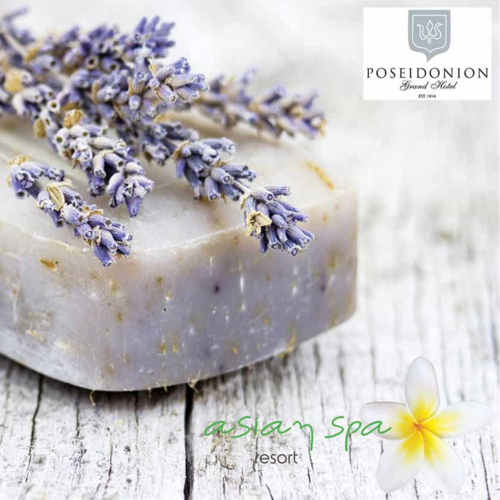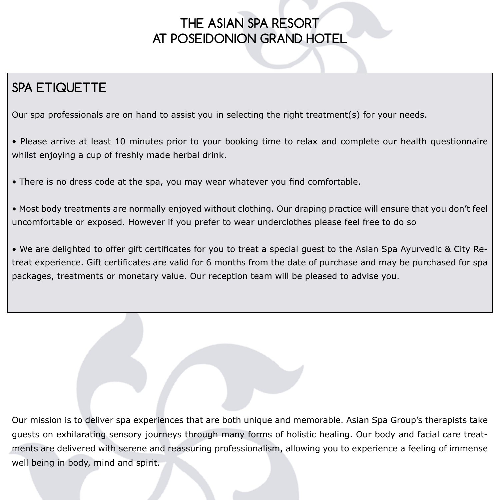### **THE ASIAN SPA RESORT AT POSEIDONION GRAND HOTEL**

## **SPA ETIQUETTE**

Our spa professionals are on hand to assist you in selecting the right treatment(s) for your needs.

• Please arrive at least 10 minutes prior to your booking time to relax and complete our health questionnaire whilst enjoying a cup of freshly made herbal drink.

• There is no dress code at the spa, you may wear whatever you find comfortable.

• Most body treatments are normally enjoyed without clothing. Our draping practice will ensure that you don't feel uncomfortable or exposed. However if you prefer to wear underclothes please feel free to do so

• We are delighted to offer gift certificates for you to treat a special guest to the Asian Spa Ayurvedic & City Retreat experience. Gift certificates are valid for 6 months from the date of purchase and may be purchased for spa packages, treatments or monetary value. Our reception team will be pleased to advise you.

Our mission is to deliver spa experiences that are both unique and memorable. Asian Spa Group's therapists take guests on exhilarating sensory journeys through many forms of holistic healing. Our body and facial care treatments are delivered with serene and reassuring professionalism, allowing you to experience a feeling of immense well being in body, mind and spirit.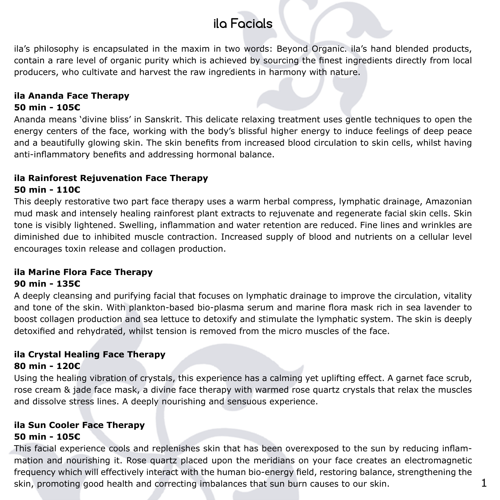### **ila Facials**

ila's philosophy is encapsulated in the maxim in two words: Beyond Organic. ila's hand blended products, contain a rare level of organic purity which is achieved by sourcing the finest ingredients directly from local producers, who cultivate and harvest the raw ingredients in harmony with nature.

#### **ila Ananda Face Therapy 50 min - 105€**

Ananda means 'divine bliss' in Sanskrit. This delicate relaxing treatment uses gentle techniques to open the energy centers of the face, working with the body's blissful higher energy to induce feelings of deep peace and a beautifully glowing skin. The skin benefits from increased blood circulation to skin cells, whilst having anti-inflammatory benefits and addressing hormonal balance.

#### **ila Rainforest Rejuvenation Face Therapy 50 min - 110€**

This deeply restorative two part face therapy uses a warm herbal compress, lymphatic drainage, Amazonian mud mask and intensely healing rainforest plant extracts to rejuvenate and regenerate facial skin cells. Skin tone is visibly lightened. Swelling, inflammation and water retention are reduced. Fine lines and wrinkles are diminished due to inhibited muscle contraction. Increased supply of blood and nutrients on a cellular level encourages toxin release and collagen production.

### **ila Marine Flora Face Therapy**

#### **90 min - 135€**

A deeply cleansing and purifying facial that focuses on lymphatic drainage to improve the circulation, vitality and tone of the skin. With plankton-based bio-plasma serum and marine flora mask rich in sea lavender to boost collagen production and sea lettuce to detoxify and stimulate the lymphatic system. The skin is deeply detoxified and rehydrated, whilst tension is removed from the micro muscles of the face.

#### **ila Crystal Healing Face Therapy 80 min - 120€**

Using the healing vibration of crystals, this experience has a calming yet uplifting effect. A garnet face scrub, rose cream & jade face mask, a divine face therapy with warmed rose quartz crystals that relax the muscles and dissolve stress lines. A deeply nourishing and sensuous experience.

#### **ila Sun Cooler Face Therapy 50 min - 105€**

This facial experience cools and replenishes skin that has been overexposed to the sun by reducing inflammation and nourishing it. Rose quartz placed upon the meridians on your face creates an electromagnetic frequency which will effectively interact with the human bio-energy field, restoring balance, strengthening the skin, promoting good health and correcting imbalances that sun burn causes to our skin.  $1$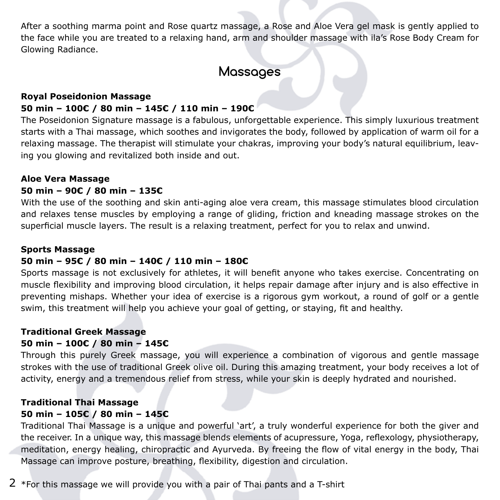After a soothing marma point and Rose quartz massage, a Rose and Aloe Vera gel mask is gently applied to the face while you are treated to a relaxing hand, arm and shoulder massage with ila's Rose Body Cream for Glowing Radiance.

### **Massages**

#### **Royal Poseidonion Massage 50 min – 100€ / 80 min – 145€ / 110 min – 190€**

The Poseidonion Signature massage is a fabulous, unforgettable experience. This simply luxurious treatment starts with a Thai massage, which soothes and invigorates the body, followed by application of warm oil for a relaxing massage. The therapist will stimulate your chakras, improving your body's natural equilibrium, leaving you glowing and revitalized both inside and out.

#### **Aloe Vera Massage**

#### **50 min – 90€ / 80 min – 135€**

With the use of the soothing and skin anti-aging aloe vera cream, this massage stimulates blood circulation and relaxes tense muscles by employing a range of gliding, friction and kneading massage strokes on the superficial muscle layers. The result is a relaxing treatment, perfect for you to relax and unwind.

#### **Sports Massage**

#### **50 min – 95€ / 80 min – 140€ / 110 min – 180€**

Sports massage is not exclusively for athletes, it will benefit anyone who takes exercise. Concentrating on muscle flexibility and improving blood circulation, it helps repair damage after injury and is also effective in preventing mishaps. Whether your idea of exercise is a rigorous gym workout, a round of golf or a gentle swim, this treatment will help you achieve your goal of getting, or staying, fit and healthy.

#### **Traditional Greek Massage 50 min – 100€ / 80 min – 145€**

Through this purely Greek massage, you will experience a combination of vigorous and gentle massage strokes with the use of traditional Greek olive oil. During this amazing treatment, your body receives a lot of activity, energy and a tremendous relief from stress, while your skin is deeply hydrated and nourished.

#### **Traditional Thai Massage 50 min – 105€ / 80 min – 145€**

Traditional Thai Massage is a unique and powerful 'art', a truly wonderful experience for both the giver and the receiver. In a unique way, this massage blends elements of acupressure, Yoga, reflexology, physiotherapy, meditation, energy healing, chiropractic and Ayurveda. By freeing the flow of vital energy in the body, Thai Massage can improve posture, breathing, flexibility, digestion and circulation.

2 \*For this massage we will provide you with a pair of Thai pants and a T-shirt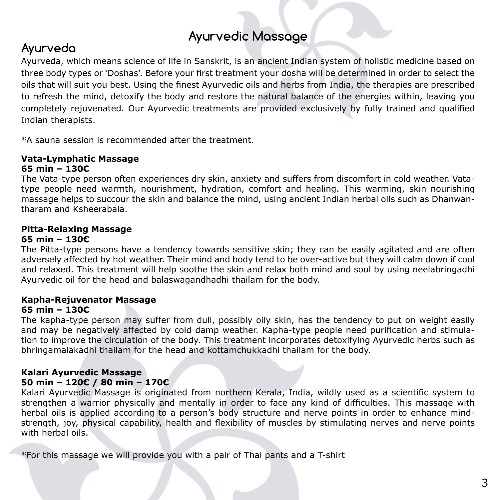# **Ayurvedic Massage Ayurveda**

Ayurveda, which means science of life in Sanskrit, is an ancient Indian system of holistic medicine based on three body types or 'Doshas'. Before your first treatment your dosha will be determined in order to select the oils that will suit you best. Using the finest Ayurvedic oils and herbs from India, the therapies are prescribed to refresh the mind, detoxify the body and restore the natural balance of the energies within, leaving you completely rejuvenated. Our Ayurvedic treatments are provided exclusively by fully trained and qualified Indian therapists.

\*A sauna session is recommended after the treatment.

#### **Vata-Lymphatic Massage 65 min – 130€**

The Vata-type person often experiences dry skin, anxiety and suffers from discomfort in cold weather. Vatatype people need warmth, nourishment, hydration, comfort and healing. This warming, skin nourishing massage helps to succour the skin and balance the mind, using ancient Indian herbal oils such as Dhanwantharam and Ksheerabala.

#### **Pitta-Relaxing Massage 65 min – 130€**

The Pitta-type persons have a tendency towards sensitive skin; they can be easily agitated and are often adversely affected by hot weather. Their mind and body tend to be over-active but they will calm down if cool and relaxed. This treatment will help soothe the skin and relax both mind and soul by using neelabringadhi Ayurvedic oil for the head and balaswagandhadhi thailam for the body.

#### **Kapha-Rejuvenator Massage 65 min – 130€**

The kapha-type person may suffer from dull, possibly oily skin, has the tendency to put on weight easily and may be negatively affected by cold damp weather. Kapha-type people need purification and stimulation to improve the circulation of the body. This treatment incorporates detoxifying Ayurvedic herbs such as bhringamalakadhi thailam for the head and kottamchukkadhi thailam for the body.

#### **Kalari Ayurvedic Massage 50 min – 120€ / 80 min – 170€**

Kalari Ayurvedic Massage is originated from northern Kerala, India, wildly used as a scientific system to strengthen a warrior physically and mentally in order to face any kind of difficulties. This massage with herbal oils is applied according to a person's body structure and nerve points in order to enhance mindstrength, joy, physical capability, health and flexibility of muscles by stimulating nerves and nerve points with herbal oils.

\*For this massage we will provide you with a pair of Thai pants and a T-shirt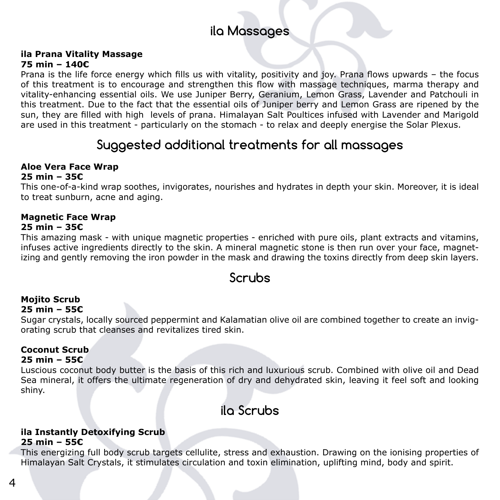### **ila Massages**

#### **ila Prana Vitality Massage 75 min – 140€**

Prana is the life force energy which fills us with vitality, positivity and joy. Prana flows upwards – the focus of this treatment is to encourage and strengthen this flow with massage techniques, marma therapy and vitality-enhancing essential oils. We use Juniper Berry, Geranium, Lemon Grass, Lavender and Patchouli in this treatment. Due to the fact that the essential oils of Juniper berry and Lemon Grass are ripened by the sun, they are filled with high levels of prana. Himalayan Salt Poultices infused with Lavender and Marigold are used in this treatment - particularly on the stomach - to relax and deeply energise the Solar Plexus.

### **Suggested additional treatments for all massages**

### **Aloe Vera Face Wrap**

#### **25 min – 35€**

This one-of-a-kind wrap soothes, invigorates, nourishes and hydrates in depth your skin. Moreover, it is ideal to treat sunburn, acne and aging.

### **Magnetic Face Wrap**

#### **25 min – 35€**

This amazing mask - with unique magnetic properties - enriched with pure oils, plant extracts and vitamins, infuses active ingredients directly to the skin. A mineral magnetic stone is then run over your face, magnetizing and gently removing the iron powder in the mask and drawing the toxins directly from deep skin layers.

### **Scrubs**

#### **Mojito Scrub 25 min – 55€**

Sugar crystals, locally sourced peppermint and Kalamatian olive oil are combined together to create an invigorating scrub that cleanses and revitalizes tired skin.

#### **Coconut Scrub 25 min – 55€**

Luscious coconut body butter is the basis of this rich and luxurious scrub. Combined with olive oil and Dead Sea mineral, it offers the ultimate regeneration of dry and dehydrated skin, leaving it feel soft and looking shiny.

### **ila Scrubs**

#### **ila Instantly Detoxifying Scrub 25 min – 55€**

This energizing full body scrub targets cellulite, stress and exhaustion. Drawing on the ionising properties of Himalayan Salt Crystals, it stimulates circulation and toxin elimination, uplifting mind, body and spirit.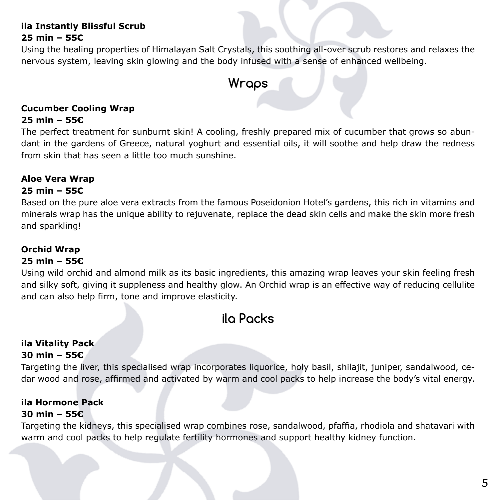#### **ila Instantly Blissful Scrub 25 min – 55€**

Using the healing properties of Himalayan Salt Crystals, this soothing all-over scrub restores and relaxes the nervous system, leaving skin glowing and the body infused with a sense of enhanced wellbeing.

### **Wraps**

### **Cucumber Cooling Wrap**

#### **25 min – 55€**

The perfect treatment for sunburnt skin! A cooling, freshly prepared mix of cucumber that grows so abundant in the gardens of Greece, natural yoghurt and essential oils, it will soothe and help draw the redness from skin that has seen a little too much sunshine.

#### **Aloe Vera Wrap**

#### **25 min – 55€**

Based on the pure aloe vera extracts from the famous Poseidonion Hotel's gardens, this rich in vitamins and minerals wrap has the unique ability to rejuvenate, replace the dead skin cells and make the skin more fresh and sparkling!

#### **Orchid Wrap**

#### **25 min – 55€**

Using wild orchid and almond milk as its basic ingredients, this amazing wrap leaves your skin feeling fresh and silky soft, giving it suppleness and healthy glow. An Orchid wrap is an effective way of reducing cellulite and can also help firm, tone and improve elasticity.

### **ila Packs**

#### **ila Vitality Pack 30 min – 55€**

Targeting the liver, this specialised wrap incorporates liquorice, holy basil, shilajit, juniper, sandalwood, cedar wood and rose, affirmed and activated by warm and cool packs to help increase the body's vital energy.

#### **ila Hormone Pack 30 min – 55€**

Targeting the kidneys, this specialised wrap combines rose, sandalwood, pfaffia, rhodiola and shatavari with warm and cool packs to help regulate fertility hormones and support healthy kidney function.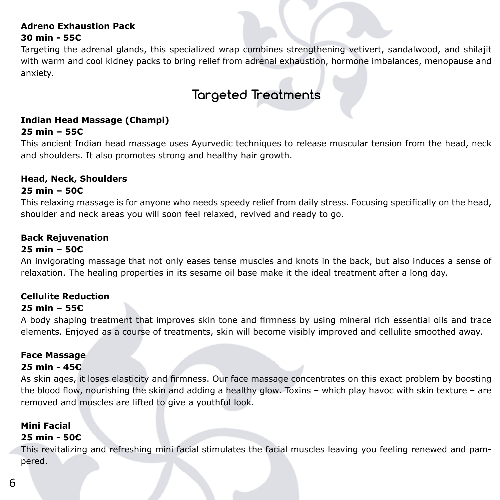#### **Adreno Exhaustion Pack 30 min - 55€**

Targeting the adrenal glands, this specialized wrap combines strengthening vetivert, sandalwood, and shilajit with warm and cool kidney packs to bring relief from adrenal exhaustion, hormone imbalances, menopause and anxiety.

### **Targeted Treatments**

#### **Indian Head Massage (Champi) 25 min – 55€**

This ancient Indian head massage uses Ayurvedic techniques to release muscular tension from the head, neck and shoulders. It also promotes strong and healthy hair growth.

#### **Head, Neck, Shoulders**

#### **25 min – 50€**

This relaxing massage is for anyone who needs speedy relief from daily stress. Focusing specifically on the head, shoulder and neck areas you will soon feel relaxed, revived and ready to go.

#### **Back Rejuvenation**

#### **25 min – 50€**

An invigorating massage that not only eases tense muscles and knots in the back, but also induces a sense of relaxation. The healing properties in its sesame oil base make it the ideal treatment after a long day.

#### **Cellulite Reduction**

#### **25 min – 55€**

A body shaping treatment that improves skin tone and firmness by using mineral rich essential oils and trace elements. Enjoyed as a course of treatments, skin will become visibly improved and cellulite smoothed away.

#### **Face Massage**

#### **25 min - 45€**

As skin ages, it loses elasticity and firmness. Our face massage concentrates on this exact problem by boosting the blood flow, nourishing the skin and adding a healthy glow. Toxins – which play havoc with skin texture – are removed and muscles are lifted to give a youthful look.

#### **Mini Facial**

#### **25 min - 50€**

This revitalizing and refreshing mini facial stimulates the facial muscles leaving you feeling renewed and pampered.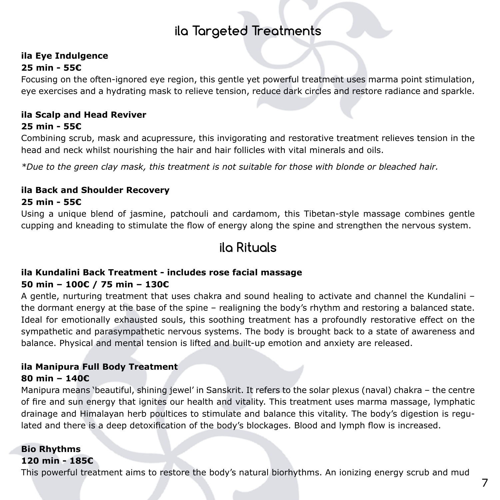### **ila Targeted Treatments**

#### **ila Eye Indulgence 25 min - 55€**

Focusing on the often-ignored eye region, this gentle yet powerful treatment uses marma point stimulation, eye exercises and a hydrating mask to relieve tension, reduce dark circles and restore radiance and sparkle.

#### **ila Scalp and Head Reviver 25 min - 55€**

Combining scrub, mask and acupressure, this invigorating and restorative treatment relieves tension in the head and neck whilst nourishing the hair and hair follicles with vital minerals and oils.

*\*Due to the green clay mask, this treatment is not suitable for those with blonde or bleached hair.*

### **ila Back and Shoulder Recovery**

#### **25 min - 55€**

Using a unique blend of jasmine, patchouli and cardamom, this Tibetan-style massage combines gentle cupping and kneading to stimulate the flow of energy along the spine and strengthen the nervous system.

### **ila Rituals**

#### **ila Kundalini Back Treatment - includes rose facial massage 50 min – 100€ / 75 min – 130€**

A gentle, nurturing treatment that uses chakra and sound healing to activate and channel the Kundalini – the dormant energy at the base of the spine – realigning the body's rhythm and restoring a balanced state. Ideal for emotionally exhausted souls, this soothing treatment has a profoundly restorative effect on the sympathetic and parasympathetic nervous systems. The body is brought back to a state of awareness and balance. Physical and mental tension is lifted and built-up emotion and anxiety are released.

#### **ila Manipura Full Body Treatment 80 min – 140€**

Manipura means 'beautiful, shining jewel' in Sanskrit. It refers to the solar plexus (naval) chakra – the centre of fire and sun energy that ignites our health and vitality. This treatment uses marma massage, lymphatic drainage and Himalayan herb poultices to stimulate and balance this vitality. The body's digestion is regulated and there is a deep detoxification of the body's blockages. Blood and lymph flow is increased.

### **Bio Rhythms**

#### **120 min - 185€**

This powerful treatment aims to restore the body's natural biorhythms. An ionizing energy scrub and mud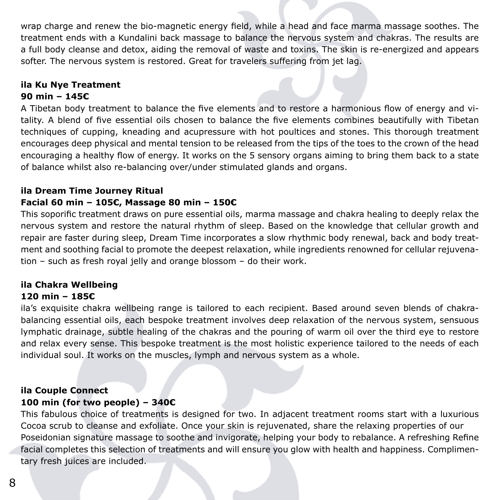wrap charge and renew the bio-magnetic energy field, while a head and face marma massage soothes. The treatment ends with a Kundalini back massage to balance the nervous system and chakras. The results are a full body cleanse and detox, aiding the removal of waste and toxins. The skin is re-energized and appears softer. The nervous system is restored. Great for travelers suffering from jet lag.

#### **ila Ku Nye Treatment 90 min – 145€**

A Tibetan body treatment to balance the five elements and to restore a harmonious flow of energy and vitality. A blend of five essential oils chosen to balance the five elements combines beautifully with Tibetan techniques of cupping, kneading and acupressure with hot poultices and stones. This thorough treatment encourages deep physical and mental tension to be released from the tips of the toes to the crown of the head encouraging a healthy flow of energy. It works on the 5 sensory organs aiming to bring them back to a state of balance whilst also re-balancing over/under stimulated glands and organs.

#### **ila Dream Time Journey Ritual Facial 60 min – 105€, Massage 80 min – 150€**

This soporific treatment draws on pure essential oils, marma massage and chakra healing to deeply relax the nervous system and restore the natural rhythm of sleep. Based on the knowledge that cellular growth and repair are faster during sleep, Dream Time incorporates a slow rhythmic body renewal, back and body treatment and soothing facial to promote the deepest relaxation, while ingredients renowned for cellular rejuvenation – such as fresh royal jelly and orange blossom – do their work.

### **ila Chakra Wellbeing**

#### **120 min – 185€**

ila's exquisite chakra wellbeing range is tailored to each recipient. Based around seven blends of chakrabalancing essential oils, each bespoke treatment involves deep relaxation of the nervous system, sensuous lymphatic drainage, subtle healing of the chakras and the pouring of warm oil over the third eye to restore and relax every sense. This bespoke treatment is the most holistic experience tailored to the needs of each individual soul. It works on the muscles, lymph and nervous system as a whole.

#### **ila Couple Connect 100 min (for two people) – 340€**

This fabulous choice of treatments is designed for two. In adjacent treatment rooms start with a luxurious Cocoa scrub to cleanse and exfoliate. Once your skin is rejuvenated, share the relaxing properties of our Poseidonian signature massage to soothe and invigorate, helping your body to rebalance. A refreshing Refine facial completes this selection of treatments and will ensure you glow with health and happiness. Complimentary fresh juices are included.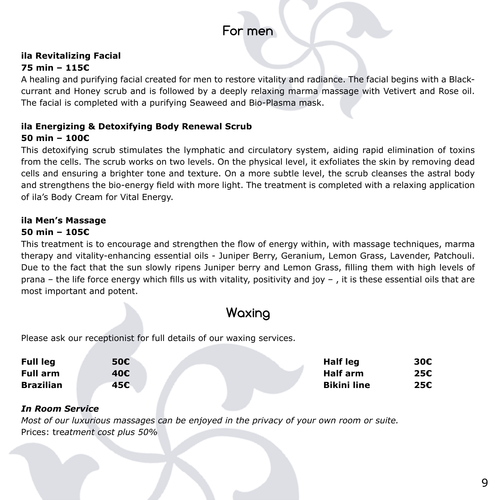### **For men**

#### **ila Revitalizing Facial 75 min – 115€**

A healing and purifying facial created for men to restore vitality and radiance. The facial begins with a Blackcurrant and Honey scrub and is followed by a deeply relaxing marma massage with Vetivert and Rose oil. The facial is completed with a purifying Seaweed and Bio-Plasma mask.

#### **ila Energizing & Detoxifying Body Renewal Scrub 50 min – 100€**

This detoxifying scrub stimulates the lymphatic and circulatory system, aiding rapid elimination of toxins from the cells. The scrub works on two levels. On the physical level, it exfoliates the skin by removing dead cells and ensuring a brighter tone and texture. On a more subtle level, the scrub cleanses the astral body and strengthens the bio-energy field with more light. The treatment is completed with a relaxing application of ila's Body Cream for Vital Energy.

### **ila Men's Massage**

#### **50 min – 105€**

This treatment is to encourage and strengthen the flow of energy within, with massage techniques, marma therapy and vitality-enhancing essential oils - Juniper Berry, Geranium, Lemon Grass, Lavender, Patchouli. Due to the fact that the sun slowly ripens Juniper berry and Lemon Grass, filling them with high levels of prana – the life force energy which fills us with vitality, positivity and joy – , it is these essential oils that are most important and potent.

### **Waxing**

Please ask our receptionist for full details of our waxing services.

| <b>Full leg</b><br><b>Full arm</b><br><b>Brazilian</b> | 50€<br>40€<br>45€ |  | Half leg                              | 30€<br>25€<br>25€ |
|--------------------------------------------------------|-------------------|--|---------------------------------------|-------------------|
|                                                        |                   |  | <b>Half arm</b><br><b>Bikini line</b> |                   |
|                                                        |                   |  |                                       |                   |

#### *In Room Service*

*Most of our luxurious massages can be enjoyed in the privacy of your own room or suite.* Prices: tre*atment cost plus 50%*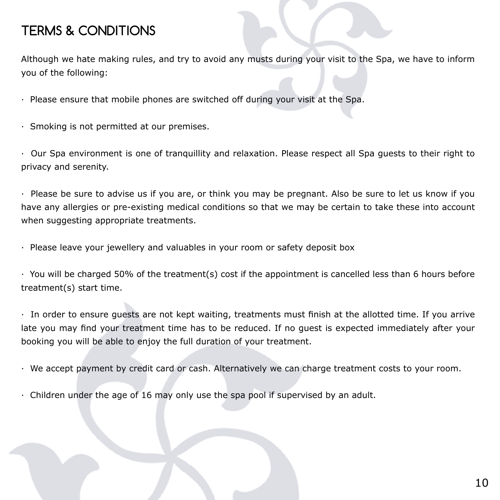### **TERMS & CONDITIONS**

Although we hate making rules, and try to avoid any musts during your visit to the Spa, we have to inform you of the following:

- · Please ensure that mobile phones are switched off during your visit at the Spa.
- · Smoking is not permitted at our premises.

· Our Spa environment is one of tranquillity and relaxation. Please respect all Spa guests to their right to privacy and serenity.

· Please be sure to advise us if you are, or think you may be pregnant. Also be sure to let us know if you have any allergies or pre-existing medical conditions so that we may be certain to take these into account when suggesting appropriate treatments.

· Please leave your jewellery and valuables in your room or safety deposit box

· You will be charged 50% of the treatment(s) cost if the appointment is cancelled less than 6 hours before treatment(s) start time.

· In order to ensure guests are not kept waiting, treatments must finish at the allotted time. If you arrive late you may find your treatment time has to be reduced. If no guest is expected immediately after your booking you will be able to enjoy the full duration of your treatment.

· We accept payment by credit card or cash. Alternatively we can charge treatment costs to your room.

· Children under the age of 16 may only use the spa pool if supervised by an adult.